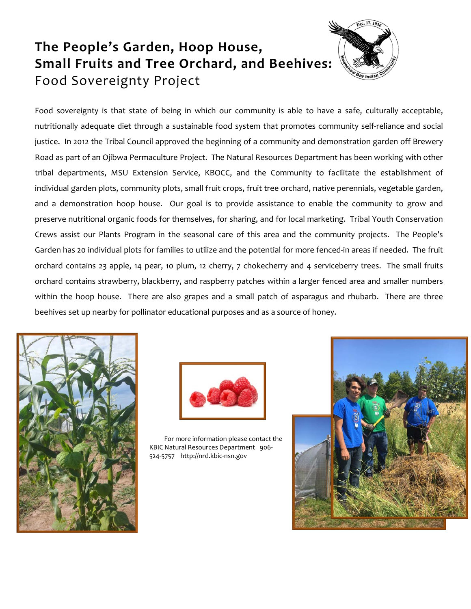## **The People's Garden, Hoop House, Small Fruits and Tree Orchard, and Beehives:**  Food Sovereignty Project



Food sovereignty is that state of being in which our community is able to have a safe, culturally acceptable, nutritionally adequate diet through a sustainable food system that promotes community self-reliance and social justice. In 2012 the Tribal Council approved the beginning of a community and demonstration garden off Brewery Road as part of an Ojibwa Permaculture Project. The Natural Resources Department has been working with other tribal departments, MSU Extension Service, KBOCC, and the Community to facilitate the establishment of individual garden plots, community plots, small fruit crops, fruit tree orchard, native perennials, vegetable garden, and a demonstration hoop house. Our goal is to provide assistance to enable the community to grow and preserve nutritional organic foods for themselves, for sharing, and for local marketing. Tribal Youth Conservation Crews assist our Plants Program in the seasonal care of this area and the community projects. The People's Garden has 20 individual plots for families to utilize and the potential for more fenced-in areas if needed. The fruit orchard contains 23 apple, 14 pear, 10 plum, 12 cherry, 7 chokecherry and 4 serviceberry trees. The small fruits orchard contains strawberry, blackberry, and raspberry patches within a larger fenced area and smaller numbers within the hoop house. There are also grapes and a small patch of asparagus and rhubarb. There are three beehives set up nearby for pollinator educational purposes and as a source of honey.





 For more information please contact the KBIC Natural Resources Department 906- 524-5757 http://nrd.kbic-nsn.gov